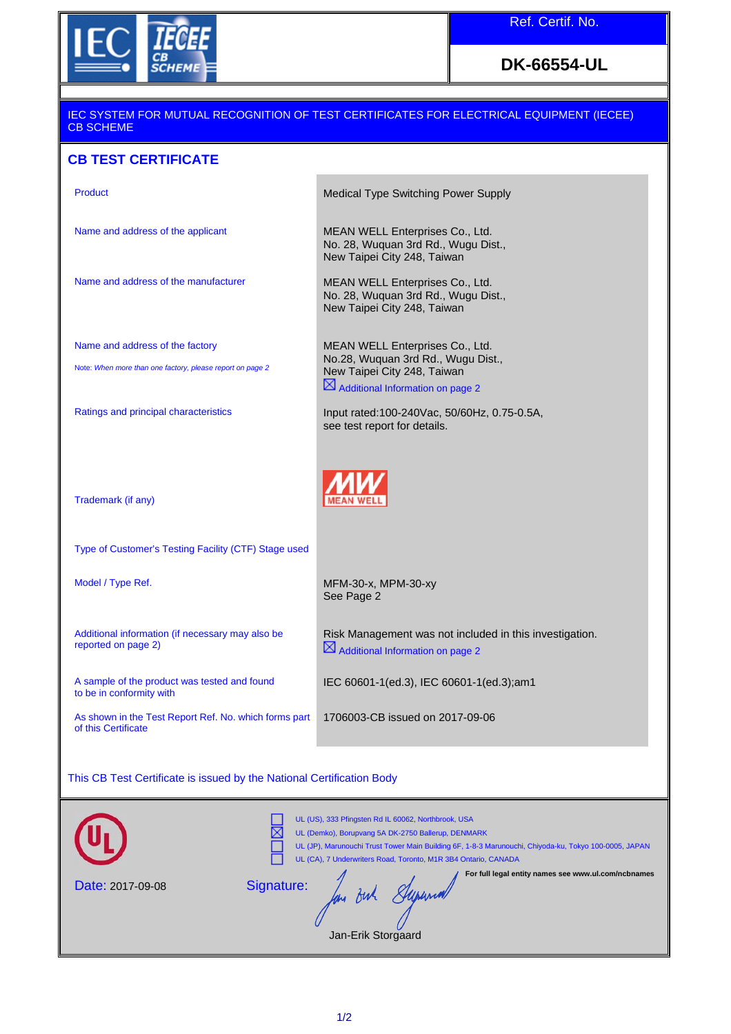

## **DK-66554-UL**

## IEC SYSTEM FOR MUTUAL RECOGNITION OF TEST CERTIFICATES FOR ELECTRICAL EQUIPMENT (IECEE) CB SCHEME

## **CB TEST CERTIFICATE**

| Product                                                                      | Medical Type Switching Power Supply                                                                     |  |
|------------------------------------------------------------------------------|---------------------------------------------------------------------------------------------------------|--|
| Name and address of the applicant                                            | MEAN WELL Enterprises Co., Ltd.<br>No. 28, Wuquan 3rd Rd., Wugu Dist.,<br>New Taipei City 248, Taiwan   |  |
| Name and address of the manufacturer                                         | MEAN WELL Enterprises Co., Ltd.<br>No. 28, Wuquan 3rd Rd., Wugu Dist.,<br>New Taipei City 248, Taiwan   |  |
| Name and address of the factory                                              | MEAN WELL Enterprises Co., Ltd.                                                                         |  |
| Note: When more than one factory, please report on page 2                    | No.28, Wuquan 3rd Rd., Wugu Dist.,<br>New Taipei City 248, Taiwan                                       |  |
|                                                                              | $\boxtimes$ Additional Information on page 2                                                            |  |
| Ratings and principal characteristics                                        | Input rated:100-240Vac, 50/60Hz, 0.75-0.5A,<br>see test report for details.                             |  |
|                                                                              |                                                                                                         |  |
| Trademark (if any)                                                           |                                                                                                         |  |
| Type of Customer's Testing Facility (CTF) Stage used                         |                                                                                                         |  |
| Model / Type Ref.                                                            | MFM-30-x, MPM-30-xy<br>See Page 2                                                                       |  |
| Additional information (if necessary may also be<br>reported on page 2)      | Risk Management was not included in this investigation.<br>$\boxtimes$ Additional Information on page 2 |  |
| A sample of the product was tested and found<br>to be in conformity with     | IEC 60601-1(ed.3), IEC 60601-1(ed.3);am1                                                                |  |
| As shown in the Test Report Ref. No. which forms part<br>of this Certificate | 1706003-CB issued on 2017-09-06                                                                         |  |
|                                                                              |                                                                                                         |  |
| This CB Test Certificate is issued by the National Certification Body        |                                                                                                         |  |